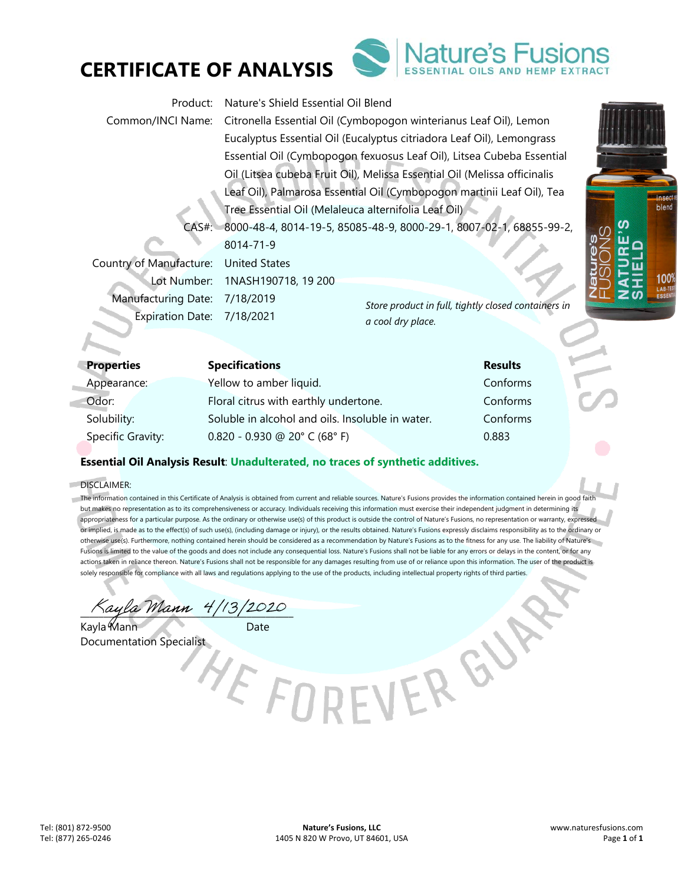



| Product:                   | Nature's Shield Essential Oil Blend                                       |                                                     |  |
|----------------------------|---------------------------------------------------------------------------|-----------------------------------------------------|--|
| Common/INCI Name:          | Citronella Essential Oil (Cymbopogon winterianus Leaf Oil), Lemon         |                                                     |  |
|                            | Eucalyptus Essential Oil (Eucalyptus citriadora Leaf Oil), Lemongrass     |                                                     |  |
|                            | Essential Oil (Cymbopogon fexuosus Leaf Oil), Litsea Cubeba Essential     |                                                     |  |
|                            | Oil (Litsea cubeba Fruit Oil), Melissa Essential Oil (Melissa officinalis |                                                     |  |
|                            | Leaf Oil), Palmarosa Essential Oil (Cymbopogon martinii Leaf Oil), Tea    |                                                     |  |
|                            | Tree Essential Oil (Melaleuca alternifolia Leaf Oil)                      |                                                     |  |
| $CAS#$ :                   | 8000-48-4, 8014-19-5, 85085-48-9, 8000-29-1, 8007-02-1, 68855-99-2,       |                                                     |  |
|                            | 8014-71-9                                                                 |                                                     |  |
| Country of Manufacture:    | <b>United States</b>                                                      |                                                     |  |
| Lot Number:                | 1NASH190718, 19 200                                                       |                                                     |  |
| <b>Manufacturing Date:</b> | 7/18/2019                                                                 | Store product in full, tightly closed containers in |  |
| <b>Expiration Date:</b>    | 7/18/2021                                                                 | a cool dry place.                                   |  |

| Properties        | <b>Specifications</b>                            | <b>Results</b> |
|-------------------|--------------------------------------------------|----------------|
| Appearance:       | Yellow to amber liquid.                          | Conforms       |
| Odor:             | Floral citrus with earthly undertone.            | Conforms       |
| Solubility:       | Soluble in alcohol and oils. Insoluble in water. | Conforms       |
| Specific Gravity: | $0.820 - 0.930$ @ 20° C (68° F)                  | 0.883          |

## **Essential Oil Analysis Result**: **Unadulterated, no traces of synthetic additives.**

#### DISCLAIMER:

The information contained in this Certificate of Analysis is obtained from current and reliable sources. Nature's Fusions provides the information contained herein in good faith but makes no representation as to its comprehensiveness or accuracy. Individuals receiving this information must exercise their independent judgment in determining its appropriateness for a particular purpose. As the ordinary or otherwise use(s) of this product is outside the control of Nature's Fusions, no representation or warranty, expressed or implied, is made as to the effect(s) of such use(s), (including damage or injury), or the results obtained. Nature's Fusions expressly disclaims responsibility as to the ordinary or otherwise use(s). Furthermore, nothing contained herein should be considered as a recommendation by Nature's Fusions as to the fitness for any use. The liability of Nature's Fusions is limited to the value of the goods and does not include any consequential loss. Nature's Fusions shall not be liable for any errors or delays in the content, or for any actions taken in reliance thereon. Nature's Fusions shall not be responsible for any damages resulting from use of or reliance upon this information. The user of the product is solely responsible for compliance with all laws and regulations applying to the use of the products, including intellectual property rights of third parties.

EVEREN

Kayla Mann 4/13/2020

Kayla Mann Documentation Specialist **insect** blend

100

ഗ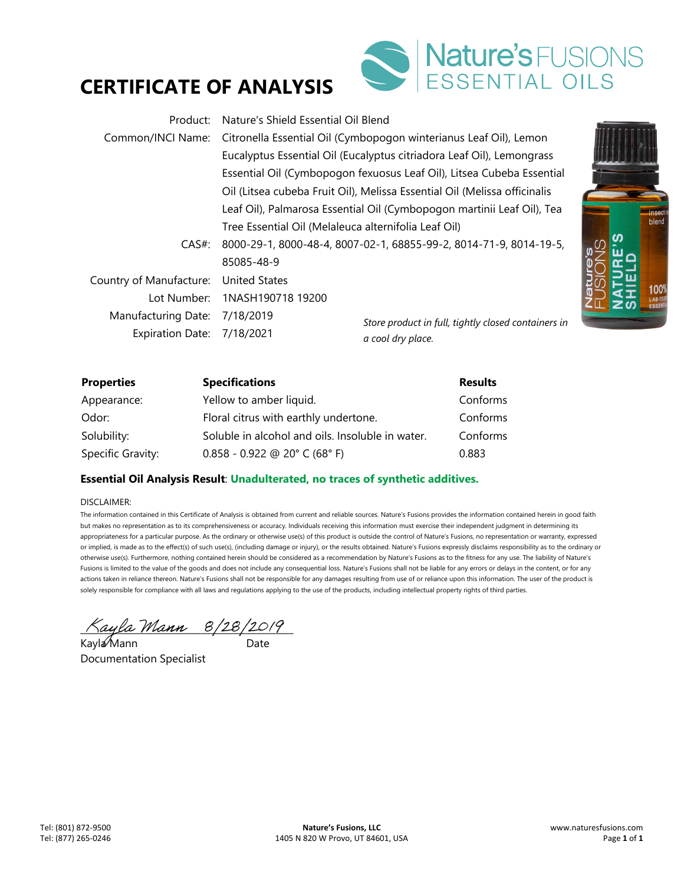# **CERTIFICATE OF ANALYSIS**



| Product:                   | Nature's Shield Essential Oil Blend                  |                                                                           |  |
|----------------------------|------------------------------------------------------|---------------------------------------------------------------------------|--|
| Common/INCI Name:          |                                                      | Citronella Essential Oil (Cymbopogon winterianus Leaf Oil), Lemon         |  |
|                            |                                                      | Eucalyptus Essential Oil (Eucalyptus citriadora Leaf Oil), Lemongrass     |  |
|                            |                                                      | Essential Oil (Cymbopogon fexuosus Leaf Oil), Litsea Cubeba Essential     |  |
|                            |                                                      | Oil (Litsea cubeba Fruit Oil), Melissa Essential Oil (Melissa officinalis |  |
|                            |                                                      | Leaf Oil), Palmarosa Essential Oil (Cymbopogon martinii Leaf Oil), Tea    |  |
|                            | Tree Essential Oil (Melaleuca alternifolia Leaf Oil) |                                                                           |  |
| CAS#                       |                                                      | 8000-29-1, 8000-48-4, 8007-02-1, 68855-99-2, 8014-71-9, 8014-19-5,        |  |
|                            | 85085-48-9                                           |                                                                           |  |
| Country of Manufacture:    | <b>United States</b>                                 |                                                                           |  |
| Lot Number:                | 1NASH190718 19200                                    |                                                                           |  |
| Manufacturing Date:        | 7/18/2019                                            | Store product in full, tightly closed containers in                       |  |
| Expiration Date: 7/18/2021 |                                                      | a cool dry place.                                                         |  |

| $\boldsymbol{\mathsf{S}}$<br>Ų | <b>Insect</b><br>blend<br>100%<br>¢<br>LAB-TEST<br><u>ທ</u><br><b>ESSENTIAL</b> |
|--------------------------------|---------------------------------------------------------------------------------|

| <b>Properties</b> | <b>Specifications</b>                            | <b>Results</b> |
|-------------------|--------------------------------------------------|----------------|
| Appearance:       | Yellow to amber liquid.                          | Conforms       |
| Odor:             | Floral citrus with earthly undertone.            | Conforms       |
| Solubility:       | Soluble in alcohol and oils. Insoluble in water. | Conforms       |
| Specific Gravity: | $0.858 - 0.922$ @ 20° C (68° F)                  | 0.883          |

### **Essential Oil Analysis Result**: **Unadulterated, no traces of synthetic additives.**

#### DISCLAIMER:

The information contained in this Certificate of Analysis is obtained from current and reliable sources. Nature's Fusions provides the information contained herein in good faith but makes no representation as to its comprehensiveness or accuracy. Individuals receiving this information must exercise their independent judgment in determining its appropriateness for a particular purpose. As the ordinary or otherwise use(s) of this product is outside the control of Nature's Fusions, no representation or warranty, expressed or implied, is made as to the effect(s) of such use(s), (including damage or injury), or the results obtained. Nature's Fusions expressly disclaims responsibility as to the ordinary or otherwise use(s). Furthermore, nothing contained herein should be considered as a recommendation by Nature's Fusions as to the fitness for any use. The liability of Nature's Fusions is limited to the value of the goods and does not include any consequential loss. Nature's Fusions shall not be liable for any errors or delays in the content, or for any actions taken in reliance thereon. Nature's Fusions shall not be responsible for any damages resulting from use of or reliance upon this information. The user of the product is solely responsible for compliance with all laws and regulations applying to the use of the products, including intellectual property rights of third parties.

 $\Delta$ ayla Mann  $8/28/2019$ 

Kayla⁄Mann Date Documentation Specialist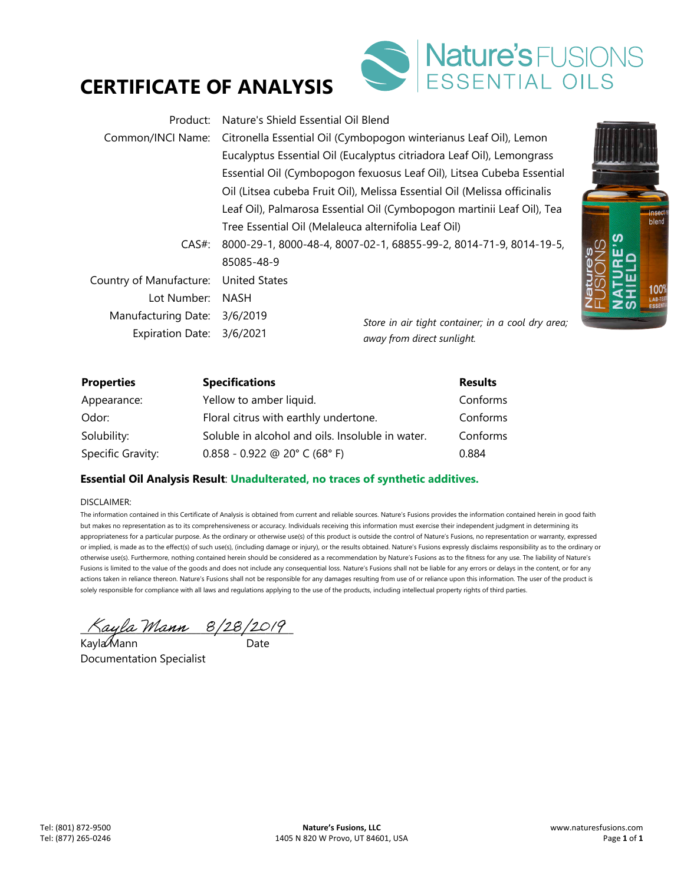# **CERTIFICATE OF ANALYSIS**



| Product:                                                               | Nature's Shield Essential Oil Blend                                   |                                                                           |  |
|------------------------------------------------------------------------|-----------------------------------------------------------------------|---------------------------------------------------------------------------|--|
| Common/INCI Name:                                                      |                                                                       | Citronella Essential Oil (Cymbopogon winterianus Leaf Oil), Lemon         |  |
|                                                                        | Eucalyptus Essential Oil (Eucalyptus citriadora Leaf Oil), Lemongrass |                                                                           |  |
|                                                                        | Essential Oil (Cymbopogon fexuosus Leaf Oil), Litsea Cubeba Essential |                                                                           |  |
|                                                                        |                                                                       | Oil (Litsea cubeba Fruit Oil), Melissa Essential Oil (Melissa officinalis |  |
| Leaf Oil), Palmarosa Essential Oil (Cymbopogon martinii Leaf Oil), Tea |                                                                       |                                                                           |  |
|                                                                        | Tree Essential Oil (Melaleuca alternifolia Leaf Oil)                  |                                                                           |  |
| CAS#                                                                   | 8000-29-1, 8000-48-4, 8007-02-1, 68855-99-2, 8014-71-9, 8014-19-5,    |                                                                           |  |
|                                                                        | 85085-48-9                                                            |                                                                           |  |
| Country of Manufacture:                                                | <b>United States</b>                                                  |                                                                           |  |
| Lot Number:                                                            | <b>NASH</b>                                                           |                                                                           |  |
| Manufacturing Date:                                                    | 3/6/2019                                                              | Store in air tight container; in a cool dry area;                         |  |
| Expiration Date: 3/6/2021                                              |                                                                       | away from direct sunlight.                                                |  |

| <b>Insect</b><br>blend<br>100%<br>LAB-TEST<br>ESSENTIA |
|--------------------------------------------------------|
|                                                        |

| <b>Properties</b> | <b>Specifications</b>                            | <b>Results</b> |
|-------------------|--------------------------------------------------|----------------|
| Appearance:       | Yellow to amber liquid.                          | Conforms       |
| Odor:             | Floral citrus with earthly undertone.            | Conforms       |
| Solubility:       | Soluble in alcohol and oils. Insoluble in water. | Conforms       |
| Specific Gravity: | $0.858 - 0.922$ @ 20° C (68° F)                  | 0.884          |

### **Essential Oil Analysis Result**: **Unadulterated, no traces of synthetic additives.**

#### DISCLAIMER:

The information contained in this Certificate of Analysis is obtained from current and reliable sources. Nature's Fusions provides the information contained herein in good faith but makes no representation as to its comprehensiveness or accuracy. Individuals receiving this information must exercise their independent judgment in determining its appropriateness for a particular purpose. As the ordinary or otherwise use(s) of this product is outside the control of Nature's Fusions, no representation or warranty, expressed or implied, is made as to the effect(s) of such use(s), (including damage or injury), or the results obtained. Nature's Fusions expressly disclaims responsibility as to the ordinary or otherwise use(s). Furthermore, nothing contained herein should be considered as a recommendation by Nature's Fusions as to the fitness for any use. The liability of Nature's Fusions is limited to the value of the goods and does not include any consequential loss. Nature's Fusions shall not be liable for any errors or delays in the content, or for any actions taken in reliance thereon. Nature's Fusions shall not be responsible for any damages resulting from use of or reliance upon this information. The user of the product is solely responsible for compliance with all laws and regulations applying to the use of the products, including intellectual property rights of third parties.

 $\land$ ayla Mann  $8/28/2019$ 

Kayla Mann ann an Date Documentation Specialist